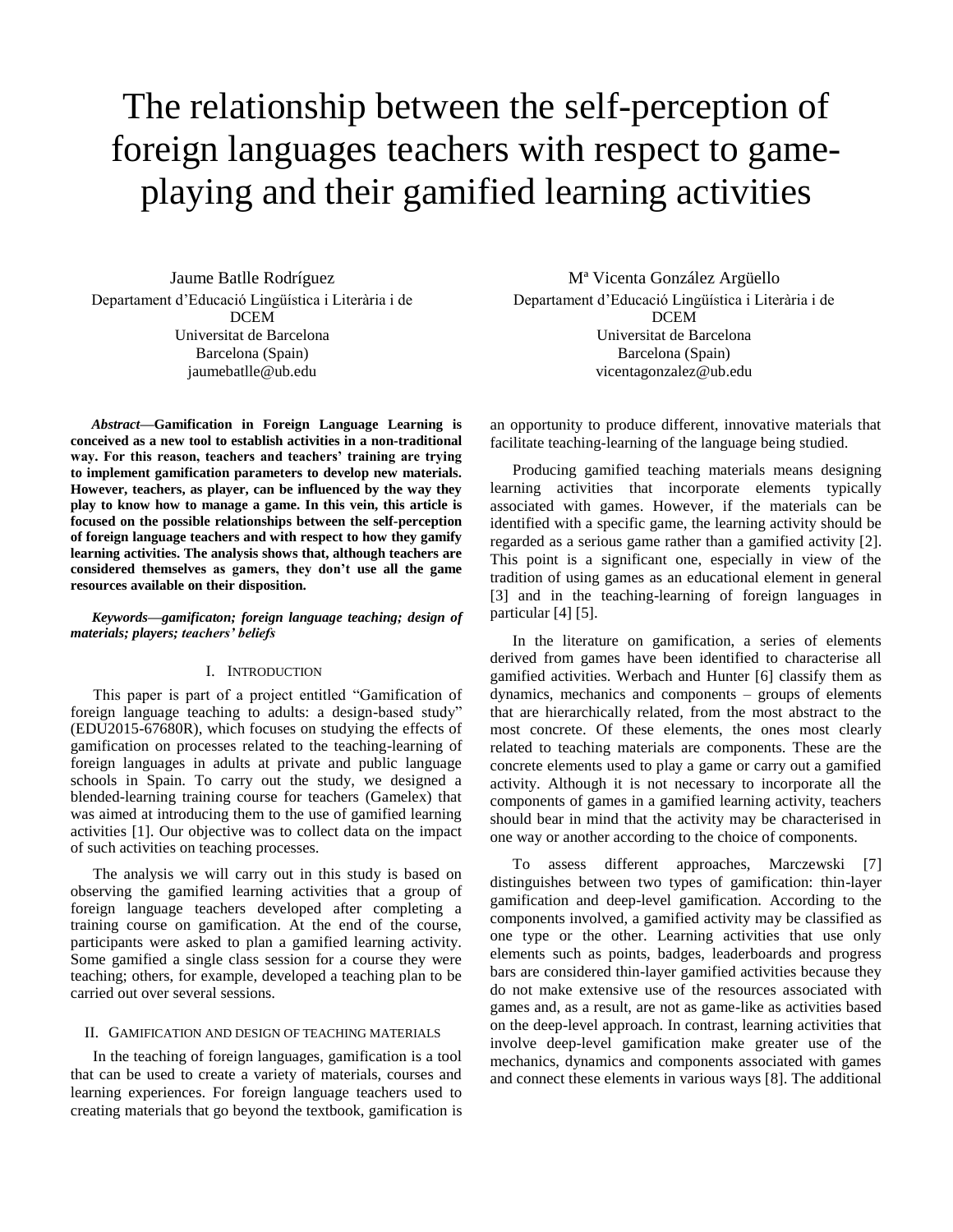# The relationship between the self-perception of foreign languages teachers with respect to gameplaying and their gamified learning activities

Jaume Batlle Rodríguez Departament d'Educació Lingüística i Literària i de DCEM Universitat de Barcelona Barcelona (Spain) jaumebatlle@ub.edu

*Abstract***—Gamification in Foreign Language Learning is conceived as a new tool to establish activities in a non-traditional way. For this reason, teachers and teachers' training are trying to implement gamification parameters to develop new materials. However, teachers, as player, can be influenced by the way they play to know how to manage a game. In this vein, this article is focused on the possible relationships between the self-perception of foreign language teachers and with respect to how they gamify learning activities. The analysis shows that, although teachers are considered themselves as gamers, they don't use all the game resources available on their disposition.**

### *Keywords—gamificaton; foreign language teaching; design of materials; players; teachers' beliefs*

#### I. INTRODUCTION

This paper is part of a project entitled "Gamification of foreign language teaching to adults: a design-based study" (EDU2015-67680R), which focuses on studying the effects of gamification on processes related to the teaching-learning of foreign languages in adults at private and public language schools in Spain. To carry out the study, we designed a blended-learning training course for teachers (Gamelex) that was aimed at introducing them to the use of gamified learning activities [1]. Our objective was to collect data on the impact of such activities on teaching processes.

The analysis we will carry out in this study is based on observing the gamified learning activities that a group of foreign language teachers developed after completing a training course on gamification. At the end of the course, participants were asked to plan a gamified learning activity. Some gamified a single class session for a course they were teaching; others, for example, developed a teaching plan to be carried out over several sessions.

#### II. GAMIFICATION AND DESIGN OF TEACHING MATERIALS

In the teaching of foreign languages, gamification is a tool that can be used to create a variety of materials, courses and learning experiences. For foreign language teachers used to creating materials that go beyond the textbook, gamification is

Mª Vicenta González Argüello Departament d'Educació Lingüística i Literària i de DCEM Universitat de Barcelona Barcelona (Spain) vicentagonzalez@ub.edu

an opportunity to produce different, innovative materials that facilitate teaching-learning of the language being studied.

Producing gamified teaching materials means designing learning activities that incorporate elements typically associated with games. However, if the materials can be identified with a specific game, the learning activity should be regarded as a serious game rather than a gamified activity [2]. This point is a significant one, especially in view of the tradition of using games as an educational element in general [3] and in the teaching-learning of foreign languages in particular [4] [5].

In the literature on gamification, a series of elements derived from games have been identified to characterise all gamified activities. Werbach and Hunter [6] classify them as dynamics, mechanics and components – groups of elements that are hierarchically related, from the most abstract to the most concrete. Of these elements, the ones most clearly related to teaching materials are components. These are the concrete elements used to play a game or carry out a gamified activity. Although it is not necessary to incorporate all the components of games in a gamified learning activity, teachers should bear in mind that the activity may be characterised in one way or another according to the choice of components.

To assess different approaches, Marczewski [7] distinguishes between two types of gamification: thin-layer gamification and deep-level gamification. According to the components involved, a gamified activity may be classified as one type or the other. Learning activities that use only elements such as points, badges, leaderboards and progress bars are considered thin-layer gamified activities because they do not make extensive use of the resources associated with games and, as a result, are not as game-like as activities based on the deep-level approach. In contrast, learning activities that involve deep-level gamification make greater use of the mechanics, dynamics and components associated with games and connect these elements in various ways [8]. The additional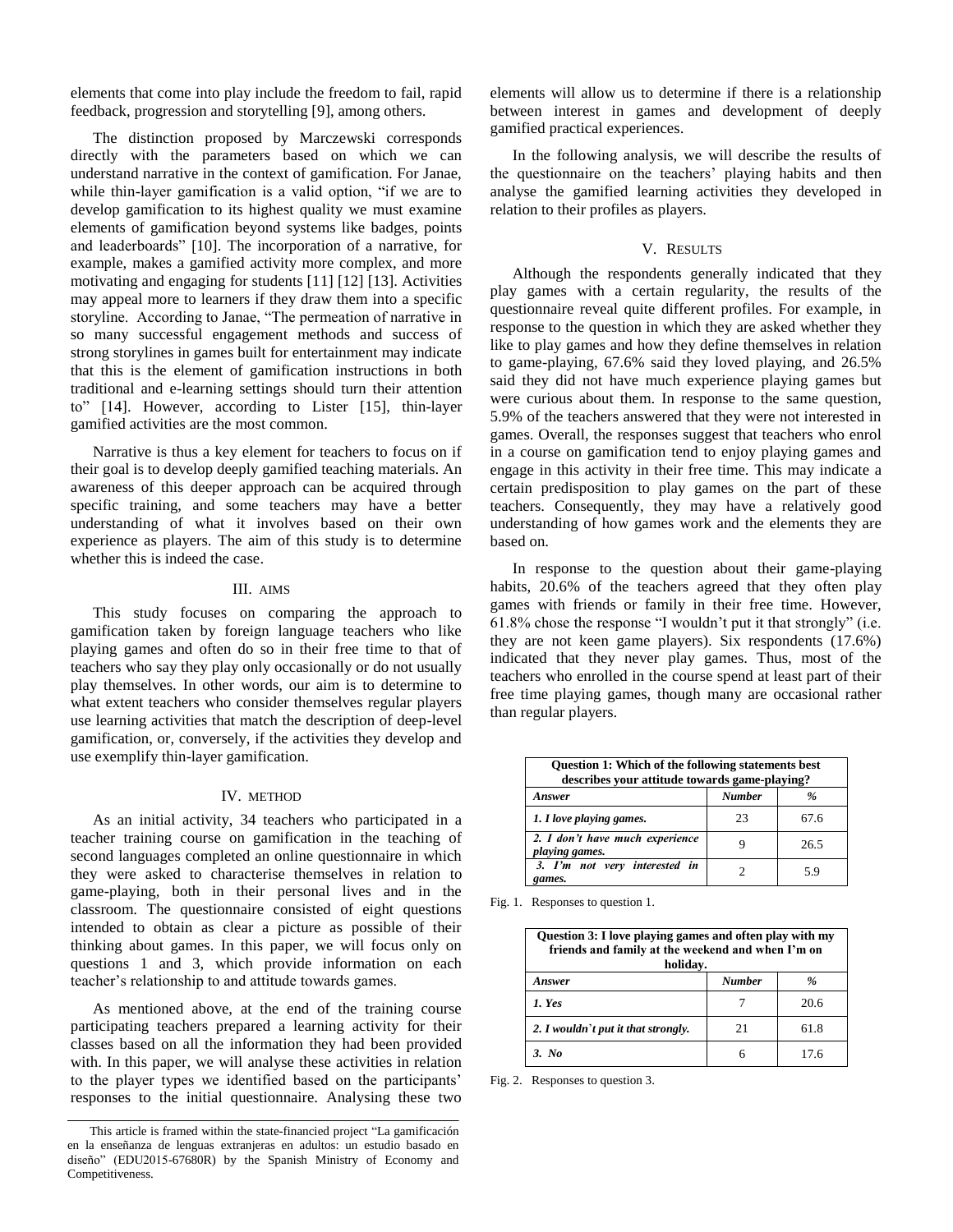elements that come into play include the freedom to fail, rapid feedback, progression and storytelling [9], among others.

The distinction proposed by Marczewski corresponds directly with the parameters based on which we can understand narrative in the context of gamification. For Janae, while thin-layer gamification is a valid option, "if we are to develop gamification to its highest quality we must examine elements of gamification beyond systems like badges, points and leaderboards" [10]. The incorporation of a narrative, for example, makes a gamified activity more complex, and more motivating and engaging for students [11] [12] [13]. Activities may appeal more to learners if they draw them into a specific storyline. According to Janae, "The permeation of narrative in so many successful engagement methods and success of strong storylines in games built for entertainment may indicate that this is the element of gamification instructions in both traditional and e-learning settings should turn their attention to" [14]. However, according to Lister [15], thin-layer gamified activities are the most common.

Narrative is thus a key element for teachers to focus on if their goal is to develop deeply gamified teaching materials. An awareness of this deeper approach can be acquired through specific training, and some teachers may have a better understanding of what it involves based on their own experience as players. The aim of this study is to determine whether this is indeed the case.

#### III. AIMS

This study focuses on comparing the approach to gamification taken by foreign language teachers who like playing games and often do so in their free time to that of teachers who say they play only occasionally or do not usually play themselves. In other words, our aim is to determine to what extent teachers who consider themselves regular players use learning activities that match the description of deep-level gamification, or, conversely, if the activities they develop and use exemplify thin-layer gamification.

#### IV. METHOD

As an initial activity, 34 teachers who participated in a teacher training course on gamification in the teaching of second languages completed an online questionnaire in which they were asked to characterise themselves in relation to game-playing, both in their personal lives and in the classroom. The questionnaire consisted of eight questions intended to obtain as clear a picture as possible of their thinking about games. In this paper, we will focus only on questions 1 and 3, which provide information on each teacher's relationship to and attitude towards games.

As mentioned above, at the end of the training course participating teachers prepared a learning activity for their classes based on all the information they had been provided with. In this paper, we will analyse these activities in relation to the player types we identified based on the participants' responses to the initial questionnaire. Analysing these two elements will allow us to determine if there is a relationship between interest in games and development of deeply gamified practical experiences.

In the following analysis, we will describe the results of the questionnaire on the teachers' playing habits and then analyse the gamified learning activities they developed in relation to their profiles as players.

## V. RESULTS

Although the respondents generally indicated that they play games with a certain regularity, the results of the questionnaire reveal quite different profiles. For example, in response to the question in which they are asked whether they like to play games and how they define themselves in relation to game-playing, 67.6% said they loved playing, and 26.5% said they did not have much experience playing games but were curious about them. In response to the same question, 5.9% of the teachers answered that they were not interested in games. Overall, the responses suggest that teachers who enrol in a course on gamification tend to enjoy playing games and engage in this activity in their free time. This may indicate a certain predisposition to play games on the part of these teachers. Consequently, they may have a relatively good understanding of how games work and the elements they are based on.

In response to the question about their game-playing habits, 20.6% of the teachers agreed that they often play games with friends or family in their free time. However, 61.8% chose the response "I wouldn't put it that strongly" (i.e. they are not keen game players). Six respondents (17.6%) indicated that they never play games. Thus, most of the teachers who enrolled in the course spend at least part of their free time playing games, though many are occasional rather than regular players.

| <b>Question 1: Which of the following statements best</b><br>describes your attitude towards game-playing? |               |      |
|------------------------------------------------------------------------------------------------------------|---------------|------|
| Answer                                                                                                     | <b>Number</b> | $\%$ |
| 1. I love playing games.                                                                                   | 23            | 67.6 |
| 2. I don't have much experience<br>playing games.                                                          | Ч             | 26.5 |
| 3. I'm not very interested in<br>games.                                                                    |               | 59   |

Fig. 1. Responses to question 1.

| Question 3: I love playing games and often play with my<br>friends and family at the weekend and when I'm on<br>holiday. |               |      |  |
|--------------------------------------------------------------------------------------------------------------------------|---------------|------|--|
| Answer                                                                                                                   | <b>Number</b> | %    |  |
| 1. Yes                                                                                                                   |               | 20.6 |  |
| 2. I wouldn't put it that strongly.                                                                                      | 21            | 61.8 |  |
| 3. No                                                                                                                    | 6             | 17 6 |  |

Fig. 2. Responses to question 3.

This article is framed within the state-financied project "La gamificación en la enseñanza de lenguas extranjeras en adultos: un estudio basado en diseño" (EDU2015-67680R) by the Spanish Ministry of Economy and Competitiveness.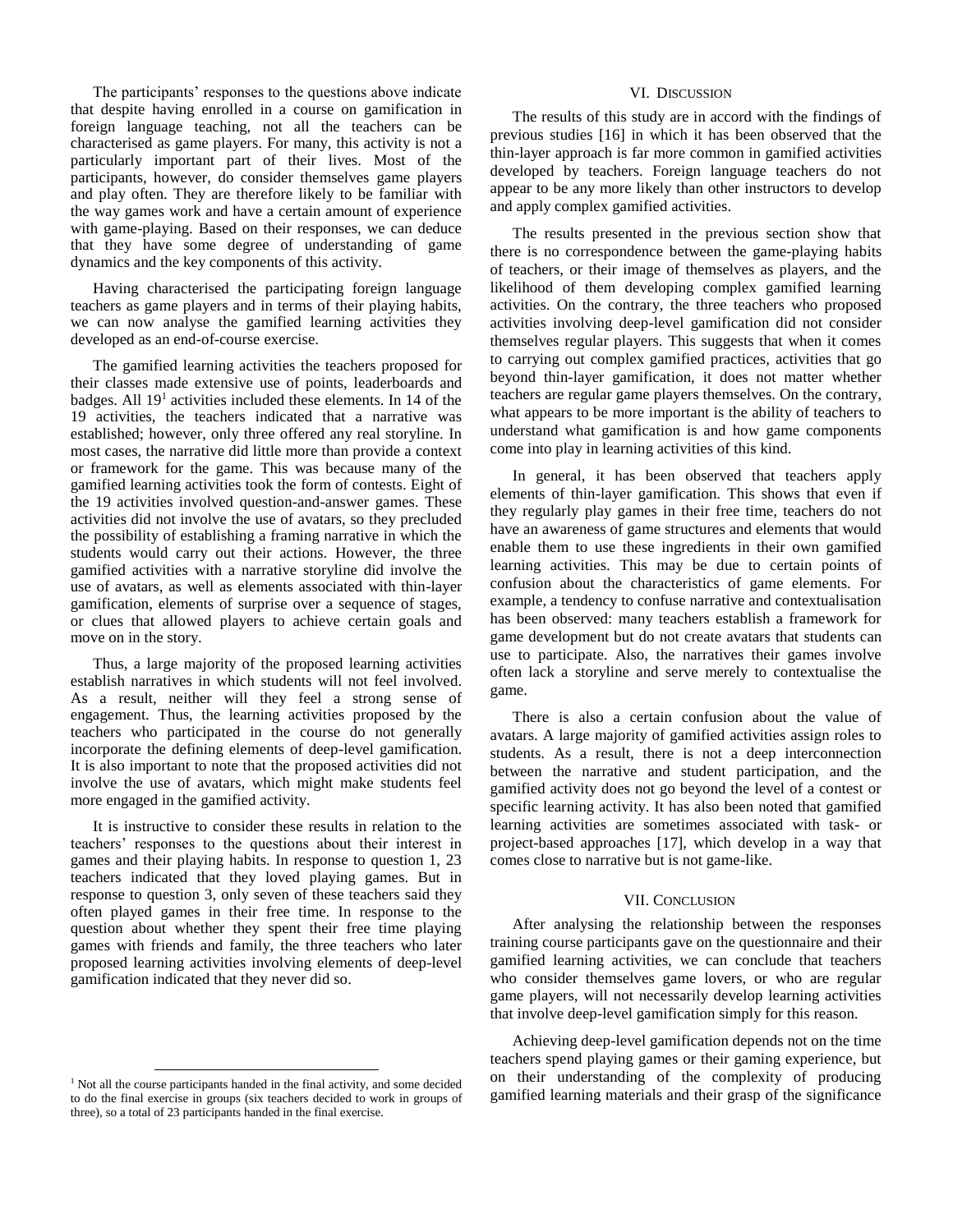The participants' responses to the questions above indicate that despite having enrolled in a course on gamification in foreign language teaching, not all the teachers can be characterised as game players. For many, this activity is not a particularly important part of their lives. Most of the participants, however, do consider themselves game players and play often. They are therefore likely to be familiar with the way games work and have a certain amount of experience with game-playing. Based on their responses, we can deduce that they have some degree of understanding of game dynamics and the key components of this activity.

Having characterised the participating foreign language teachers as game players and in terms of their playing habits, we can now analyse the gamified learning activities they developed as an end-of-course exercise.

The gamified learning activities the teachers proposed for their classes made extensive use of points, leaderboards and badges. All 19<sup>1</sup> activities included these elements. In 14 of the 19 activities, the teachers indicated that a narrative was established; however, only three offered any real storyline. In most cases, the narrative did little more than provide a context or framework for the game. This was because many of the gamified learning activities took the form of contests. Eight of the 19 activities involved question-and-answer games. These activities did not involve the use of avatars, so they precluded the possibility of establishing a framing narrative in which the students would carry out their actions. However, the three gamified activities with a narrative storyline did involve the use of avatars, as well as elements associated with thin-layer gamification, elements of surprise over a sequence of stages, or clues that allowed players to achieve certain goals and move on in the story.

Thus, a large majority of the proposed learning activities establish narratives in which students will not feel involved. As a result, neither will they feel a strong sense of engagement. Thus, the learning activities proposed by the teachers who participated in the course do not generally incorporate the defining elements of deep-level gamification. It is also important to note that the proposed activities did not involve the use of avatars, which might make students feel more engaged in the gamified activity.

It is instructive to consider these results in relation to the teachers' responses to the questions about their interest in games and their playing habits. In response to question 1, 23 teachers indicated that they loved playing games. But in response to question 3, only seven of these teachers said they often played games in their free time. In response to the question about whether they spent their free time playing games with friends and family, the three teachers who later proposed learning activities involving elements of deep-level gamification indicated that they never did so.

l

#### VI. DISCUSSION

The results of this study are in accord with the findings of previous studies [16] in which it has been observed that the thin-layer approach is far more common in gamified activities developed by teachers. Foreign language teachers do not appear to be any more likely than other instructors to develop and apply complex gamified activities.

The results presented in the previous section show that there is no correspondence between the game-playing habits of teachers, or their image of themselves as players, and the likelihood of them developing complex gamified learning activities. On the contrary, the three teachers who proposed activities involving deep-level gamification did not consider themselves regular players. This suggests that when it comes to carrying out complex gamified practices, activities that go beyond thin-layer gamification, it does not matter whether teachers are regular game players themselves. On the contrary, what appears to be more important is the ability of teachers to understand what gamification is and how game components come into play in learning activities of this kind.

In general, it has been observed that teachers apply elements of thin-layer gamification. This shows that even if they regularly play games in their free time, teachers do not have an awareness of game structures and elements that would enable them to use these ingredients in their own gamified learning activities. This may be due to certain points of confusion about the characteristics of game elements. For example, a tendency to confuse narrative and contextualisation has been observed: many teachers establish a framework for game development but do not create avatars that students can use to participate. Also, the narratives their games involve often lack a storyline and serve merely to contextualise the game.

There is also a certain confusion about the value of avatars. A large majority of gamified activities assign roles to students. As a result, there is not a deep interconnection between the narrative and student participation, and the gamified activity does not go beyond the level of a contest or specific learning activity. It has also been noted that gamified learning activities are sometimes associated with task- or project-based approaches [17], which develop in a way that comes close to narrative but is not game-like.

# VII. CONCLUSION

After analysing the relationship between the responses training course participants gave on the questionnaire and their gamified learning activities, we can conclude that teachers who consider themselves game lovers, or who are regular game players, will not necessarily develop learning activities that involve deep-level gamification simply for this reason.

Achieving deep-level gamification depends not on the time teachers spend playing games or their gaming experience, but on their understanding of the complexity of producing gamified learning materials and their grasp of the significance

<sup>&</sup>lt;sup>1</sup> Not all the course participants handed in the final activity, and some decided to do the final exercise in groups (six teachers decided to work in groups of three), so a total of 23 participants handed in the final exercise.